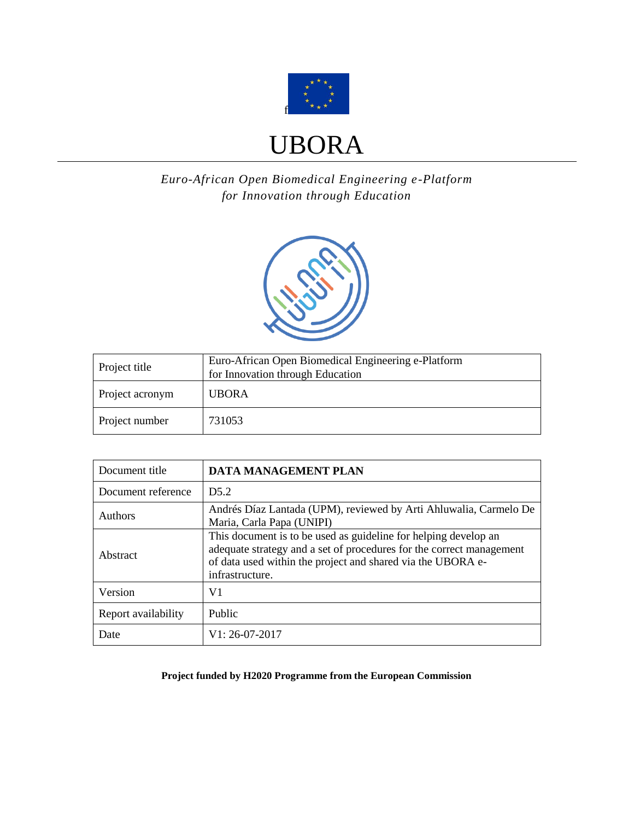

# UBORA

*Euro-African Open Biomedical Engineering e-Platform for Innovation through Education*



| Project title   | Euro-African Open Biomedical Engineering e-Platform<br>for Innovation through Education |
|-----------------|-----------------------------------------------------------------------------------------|
| Project acronym | <b>UBORA</b>                                                                            |
| Project number  | 731053                                                                                  |

| Document title      | DATA MANAGEMENT PLAN                                                                                                                                                                                                      |
|---------------------|---------------------------------------------------------------------------------------------------------------------------------------------------------------------------------------------------------------------------|
| Document reference  | D5.2                                                                                                                                                                                                                      |
| <b>Authors</b>      | Andrés Díaz Lantada (UPM), reviewed by Arti Ahluwalia, Carmelo De<br>Maria, Carla Papa (UNIPI)                                                                                                                            |
| Abstract            | This document is to be used as guideline for helping develop an<br>adequate strategy and a set of procedures for the correct management<br>of data used within the project and shared via the UBORA e-<br>infrastructure. |
| Version             | V1                                                                                                                                                                                                                        |
| Report availability | Public                                                                                                                                                                                                                    |
| Date                | V1: 26-07-2017                                                                                                                                                                                                            |

**Project funded by H2020 Programme from the European Commission**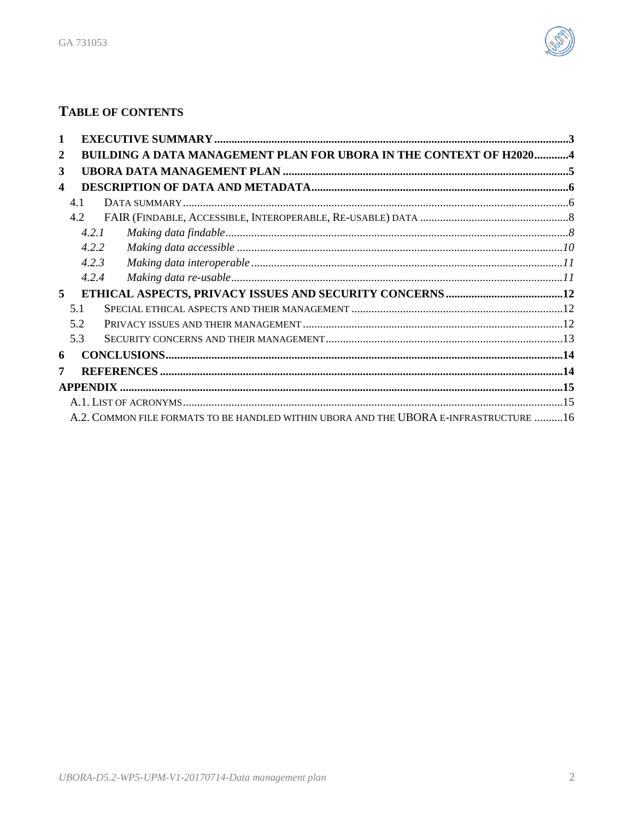

## TABLE OF CONTENTS

| 1                |                                                                                       |  |
|------------------|---------------------------------------------------------------------------------------|--|
| 2                | BUILDING A DATA MANAGEMENT PLAN FOR UBORA IN THE CONTEXT OF H20204                    |  |
| 3                |                                                                                       |  |
| $\boldsymbol{4}$ |                                                                                       |  |
|                  | 4.1                                                                                   |  |
|                  | 4.2                                                                                   |  |
|                  | 4.2.1                                                                                 |  |
|                  | 4.2.2                                                                                 |  |
|                  | 4.2.3                                                                                 |  |
|                  | 4.2.4                                                                                 |  |
| 5                |                                                                                       |  |
|                  | 51                                                                                    |  |
|                  | 5.2                                                                                   |  |
|                  | 5.3                                                                                   |  |
| 6                |                                                                                       |  |
| 7                |                                                                                       |  |
|                  |                                                                                       |  |
|                  |                                                                                       |  |
|                  | A.2. COMMON FILE FORMATS TO BE HANDLED WITHIN UBORA AND THE UBORA E-INFRASTRUCTURE 16 |  |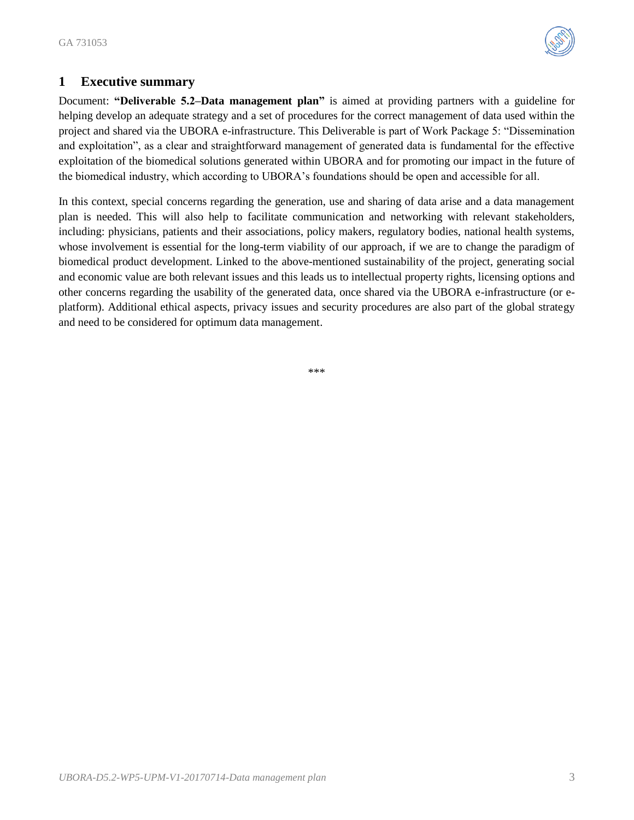

## <span id="page-2-0"></span>**1 Executive summary**

Document: **"Deliverable 5.2–Data management plan"** is aimed at providing partners with a guideline for helping develop an adequate strategy and a set of procedures for the correct management of data used within the project and shared via the UBORA e-infrastructure. This Deliverable is part of Work Package 5: "Dissemination and exploitation", as a clear and straightforward management of generated data is fundamental for the effective exploitation of the biomedical solutions generated within UBORA and for promoting our impact in the future of the biomedical industry, which according to UBORA's foundations should be open and accessible for all.

In this context, special concerns regarding the generation, use and sharing of data arise and a data management plan is needed. This will also help to facilitate communication and networking with relevant stakeholders, including: physicians, patients and their associations, policy makers, regulatory bodies, national health systems, whose involvement is essential for the long-term viability of our approach, if we are to change the paradigm of biomedical product development. Linked to the above-mentioned sustainability of the project, generating social and economic value are both relevant issues and this leads us to intellectual property rights, licensing options and other concerns regarding the usability of the generated data, once shared via the UBORA e-infrastructure (or eplatform). Additional ethical aspects, privacy issues and security procedures are also part of the global strategy and need to be considered for optimum data management.

\*\*\*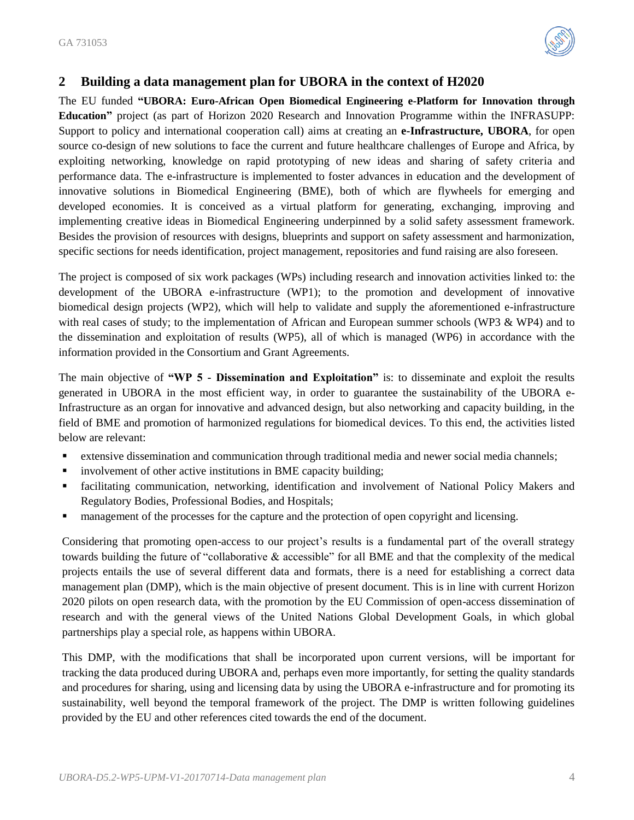

## <span id="page-3-0"></span>**2 Building a data management plan for UBORA in the context of H2020**

The EU funded **"UBORA: Euro-African Open Biomedical Engineering e-Platform for Innovation through Education"** project (as part of Horizon 2020 Research and Innovation Programme within the INFRASUPP: Support to policy and international cooperation call) aims at creating an **e-Infrastructure, UBORA**, for open source co-design of new solutions to face the current and future healthcare challenges of Europe and Africa, by exploiting networking, knowledge on rapid prototyping of new ideas and sharing of safety criteria and performance data. The e-infrastructure is implemented to foster advances in education and the development of innovative solutions in Biomedical Engineering (BME), both of which are flywheels for emerging and developed economies. It is conceived as a virtual platform for generating, exchanging, improving and implementing creative ideas in Biomedical Engineering underpinned by a solid safety assessment framework. Besides the provision of resources with designs, blueprints and support on safety assessment and harmonization, specific sections for needs identification, project management, repositories and fund raising are also foreseen.

The project is composed of six work packages (WPs) including research and innovation activities linked to: the development of the UBORA e-infrastructure (WP1); to the promotion and development of innovative biomedical design projects (WP2), which will help to validate and supply the aforementioned e-infrastructure with real cases of study; to the implementation of African and European summer schools (WP3 & WP4) and to the dissemination and exploitation of results (WP5), all of which is managed (WP6) in accordance with the information provided in the Consortium and Grant Agreements.

The main objective of **"WP 5 - Dissemination and Exploitation"** is: to disseminate and exploit the results generated in UBORA in the most efficient way, in order to guarantee the sustainability of the UBORA e-Infrastructure as an organ for innovative and advanced design, but also networking and capacity building, in the field of BME and promotion of harmonized regulations for biomedical devices. To this end, the activities listed below are relevant:

- extensive dissemination and communication through traditional media and newer social media channels;
- **EXECUTE:** involvement of other active institutions in BME capacity building;
- facilitating communication, networking, identification and involvement of National Policy Makers and Regulatory Bodies, Professional Bodies, and Hospitals;
- **Example 1** management of the processes for the capture and the protection of open copyright and licensing.

Considering that promoting open-access to our project's results is a fundamental part of the overall strategy towards building the future of "collaborative & accessible" for all BME and that the complexity of the medical projects entails the use of several different data and formats, there is a need for establishing a correct data management plan (DMP), which is the main objective of present document. This is in line with current Horizon 2020 pilots on open research data, with the promotion by the EU Commission of open-access dissemination of research and with the general views of the United Nations Global Development Goals, in which global partnerships play a special role, as happens within UBORA.

This DMP, with the modifications that shall be incorporated upon current versions, will be important for tracking the data produced during UBORA and, perhaps even more importantly, for setting the quality standards and procedures for sharing, using and licensing data by using the UBORA e-infrastructure and for promoting its sustainability, well beyond the temporal framework of the project. The DMP is written following guidelines provided by the EU and other references cited towards the end of the document.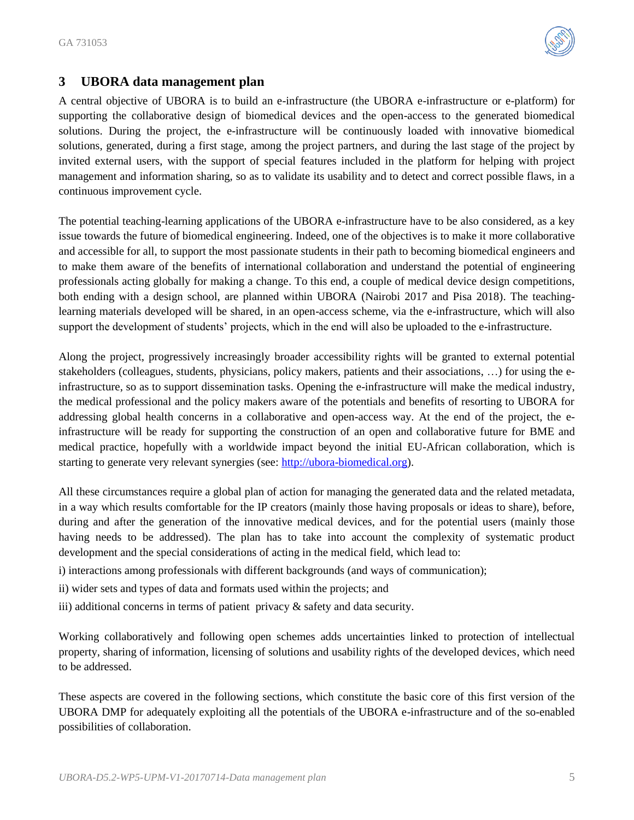

## <span id="page-4-0"></span>**3 UBORA data management plan**

A central objective of UBORA is to build an e-infrastructure (the UBORA e-infrastructure or e-platform) for supporting the collaborative design of biomedical devices and the open-access to the generated biomedical solutions. During the project, the e-infrastructure will be continuously loaded with innovative biomedical solutions, generated, during a first stage, among the project partners, and during the last stage of the project by invited external users, with the support of special features included in the platform for helping with project management and information sharing, so as to validate its usability and to detect and correct possible flaws, in a continuous improvement cycle.

The potential teaching-learning applications of the UBORA e-infrastructure have to be also considered, as a key issue towards the future of biomedical engineering. Indeed, one of the objectives is to make it more collaborative and accessible for all, to support the most passionate students in their path to becoming biomedical engineers and to make them aware of the benefits of international collaboration and understand the potential of engineering professionals acting globally for making a change. To this end, a couple of medical device design competitions, both ending with a design school, are planned within UBORA (Nairobi 2017 and Pisa 2018). The teachinglearning materials developed will be shared, in an open-access scheme, via the e-infrastructure, which will also support the development of students' projects, which in the end will also be uploaded to the e-infrastructure.

Along the project, progressively increasingly broader accessibility rights will be granted to external potential stakeholders (colleagues, students, physicians, policy makers, patients and their associations, …) for using the einfrastructure, so as to support dissemination tasks. Opening the e-infrastructure will make the medical industry, the medical professional and the policy makers aware of the potentials and benefits of resorting to UBORA for addressing global health concerns in a collaborative and open-access way. At the end of the project, the einfrastructure will be ready for supporting the construction of an open and collaborative future for BME and medical practice, hopefully with a worldwide impact beyond the initial EU-African collaboration, which is starting to generate very relevant synergies (see: [http://ubora-biomedical.org\)](http://ubora-biomedical.org/).

All these circumstances require a global plan of action for managing the generated data and the related metadata, in a way which results comfortable for the IP creators (mainly those having proposals or ideas to share), before, during and after the generation of the innovative medical devices, and for the potential users (mainly those having needs to be addressed). The plan has to take into account the complexity of systematic product development and the special considerations of acting in the medical field, which lead to:

- i) interactions among professionals with different backgrounds (and ways of communication);
- ii) wider sets and types of data and formats used within the projects; and
- iii) additional concerns in terms of patient privacy & safety and data security.

Working collaboratively and following open schemes adds uncertainties linked to protection of intellectual property, sharing of information, licensing of solutions and usability rights of the developed devices, which need to be addressed.

These aspects are covered in the following sections, which constitute the basic core of this first version of the UBORA DMP for adequately exploiting all the potentials of the UBORA e-infrastructure and of the so-enabled possibilities of collaboration.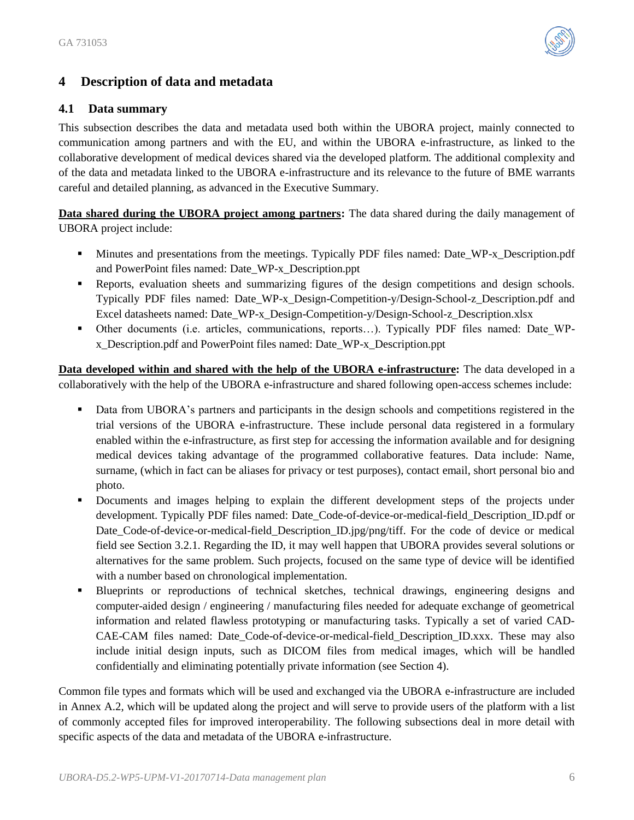

## <span id="page-5-0"></span>**4 Description of data and metadata**

## <span id="page-5-1"></span>**4.1 Data summary**

This subsection describes the data and metadata used both within the UBORA project, mainly connected to communication among partners and with the EU, and within the UBORA e-infrastructure, as linked to the collaborative development of medical devices shared via the developed platform. The additional complexity and of the data and metadata linked to the UBORA e-infrastructure and its relevance to the future of BME warrants careful and detailed planning, as advanced in the Executive Summary.

**Data shared during the UBORA project among partners:** The data shared during the daily management of UBORA project include:

- Minutes and presentations from the meetings. Typically PDF files named: Date\_WP-x\_Description.pdf and PowerPoint files named: Date\_WP-x\_Description.ppt
- Reports, evaluation sheets and summarizing figures of the design competitions and design schools. Typically PDF files named: Date\_WP-x\_Design-Competition-y/Design-School-z\_Description.pdf and Excel datasheets named: Date\_WP-x\_Design-Competition-y/Design-School-z\_Description.xlsx
- Other documents (i.e. articles, communications, reports…). Typically PDF files named: Date\_WPx\_Description.pdf and PowerPoint files named: Date\_WP-x\_Description.ppt

**Data developed within and shared with the help of the UBORA e-infrastructure:** The data developed in a collaboratively with the help of the UBORA e-infrastructure and shared following open-access schemes include:

- Data from UBORA's partners and participants in the design schools and competitions registered in the trial versions of the UBORA e-infrastructure. These include personal data registered in a formulary enabled within the e-infrastructure, as first step for accessing the information available and for designing medical devices taking advantage of the programmed collaborative features. Data include: Name, surname, (which in fact can be aliases for privacy or test purposes), contact email, short personal bio and photo.
- Documents and images helping to explain the different development steps of the projects under development. Typically PDF files named: Date\_Code-of-device-or-medical-field\_Description\_ID.pdf or Date Code-of-device-or-medical-field Description ID.jpg/png/tiff. For the code of device or medical field see Section 3.2.1. Regarding the ID, it may well happen that UBORA provides several solutions or alternatives for the same problem. Such projects, focused on the same type of device will be identified with a number based on chronological implementation.
- Blueprints or reproductions of technical sketches, technical drawings, engineering designs and computer-aided design / engineering / manufacturing files needed for adequate exchange of geometrical information and related flawless prototyping or manufacturing tasks. Typically a set of varied CAD-CAE-CAM files named: Date\_Code-of-device-or-medical-field\_Description\_ID.xxx. These may also include initial design inputs, such as DICOM files from medical images, which will be handled confidentially and eliminating potentially private information (see Section 4).

Common file types and formats which will be used and exchanged via the UBORA e-infrastructure are included in Annex A.2, which will be updated along the project and will serve to provide users of the platform with a list of commonly accepted files for improved interoperability. The following subsections deal in more detail with specific aspects of the data and metadata of the UBORA e-infrastructure.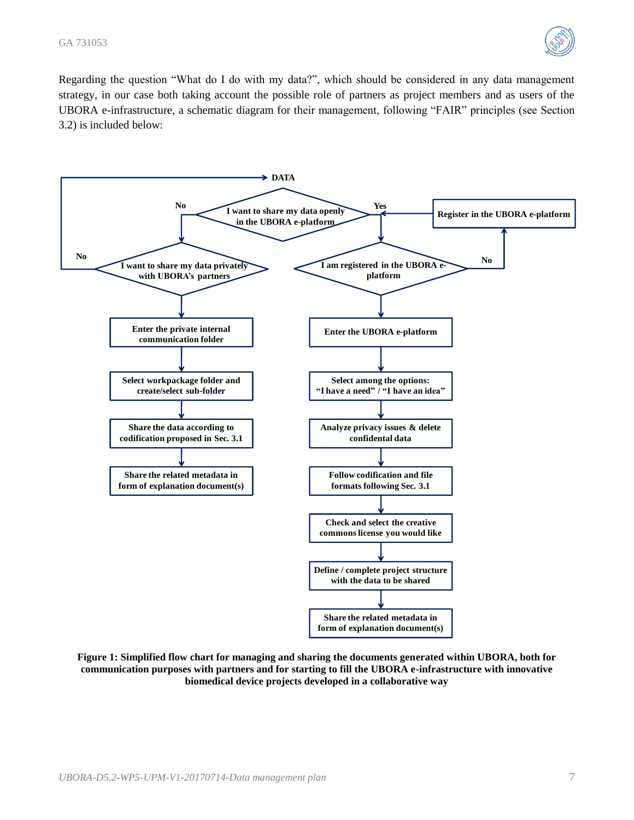

Regarding the question "What do I do with my data?", which should be considered in any data management strategy, in our case both taking account the possible role of partners as project members and as users of the UBORA e-infrastructure, a schematic diagram for their management, following "FAIR" principles (see Section 3.2) is included below:



**Figure 1: Simplified flow chart for managing and sharing the documents generated within UBORA, both for communication purposes with partners and for starting to fill the UBORA e-infrastructure with innovative biomedical device projects developed in a collaborative way**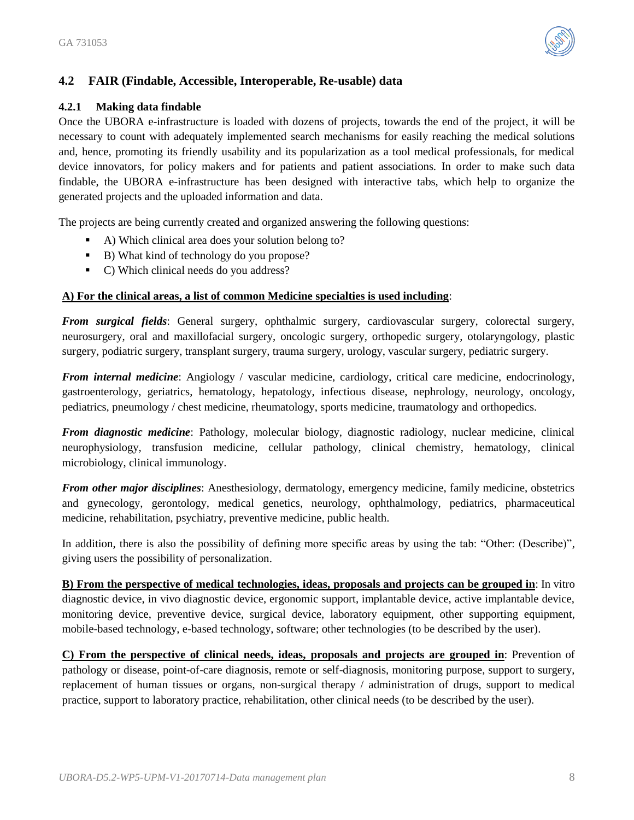

## <span id="page-7-0"></span>**4.2 FAIR (Findable, Accessible, Interoperable, Re-usable) data**

#### <span id="page-7-1"></span>**4.2.1 Making data findable**

Once the UBORA e-infrastructure is loaded with dozens of projects, towards the end of the project, it will be necessary to count with adequately implemented search mechanisms for easily reaching the medical solutions and, hence, promoting its friendly usability and its popularization as a tool medical professionals, for medical device innovators, for policy makers and for patients and patient associations. In order to make such data findable, the UBORA e-infrastructure has been designed with interactive tabs, which help to organize the generated projects and the uploaded information and data.

The projects are being currently created and organized answering the following questions:

- A) Which clinical area does your solution belong to?
- B) What kind of technology do you propose?
- C) Which clinical needs do you address?

## **A) For the clinical areas, a list of common Medicine specialties is used including**:

*From surgical fields*: General surgery, ophthalmic surgery, cardiovascular surgery, colorectal surgery, neurosurgery, oral and maxillofacial surgery, oncologic surgery, orthopedic surgery, otolaryngology, plastic surgery, podiatric surgery, transplant surgery, trauma surgery, urology, vascular surgery, pediatric surgery.

*From internal medicine*: Angiology / vascular medicine, cardiology, critical care medicine, endocrinology, gastroenterology, geriatrics, hematology, hepatology, infectious disease, nephrology, neurology, oncology, pediatrics, pneumology / chest medicine, rheumatology, sports medicine, traumatology and orthopedics.

*From diagnostic medicine*: Pathology, molecular biology, diagnostic radiology, nuclear medicine, clinical neurophysiology, transfusion medicine, cellular pathology, clinical chemistry, hematology, clinical microbiology, clinical immunology.

*From other major disciplines*: Anesthesiology, dermatology, emergency medicine, family medicine, obstetrics and gynecology, gerontology, medical genetics, neurology, ophthalmology, pediatrics, pharmaceutical medicine, rehabilitation, psychiatry, preventive medicine, public health.

In addition, there is also the possibility of defining more specific areas by using the tab: "Other: (Describe)", giving users the possibility of personalization.

**B) From the perspective of medical technologies, ideas, proposals and projects can be grouped in**: In vitro diagnostic device, in vivo diagnostic device, ergonomic support, implantable device, active implantable device, monitoring device, preventive device, surgical device, laboratory equipment, other supporting equipment, mobile-based technology, e-based technology, software; other technologies (to be described by the user).

**C) From the perspective of clinical needs, ideas, proposals and projects are grouped in**: Prevention of pathology or disease, point-of-care diagnosis, remote or self-diagnosis, monitoring purpose, support to surgery, replacement of human tissues or organs, non-surgical therapy / administration of drugs, support to medical practice, support to laboratory practice, rehabilitation, other clinical needs (to be described by the user).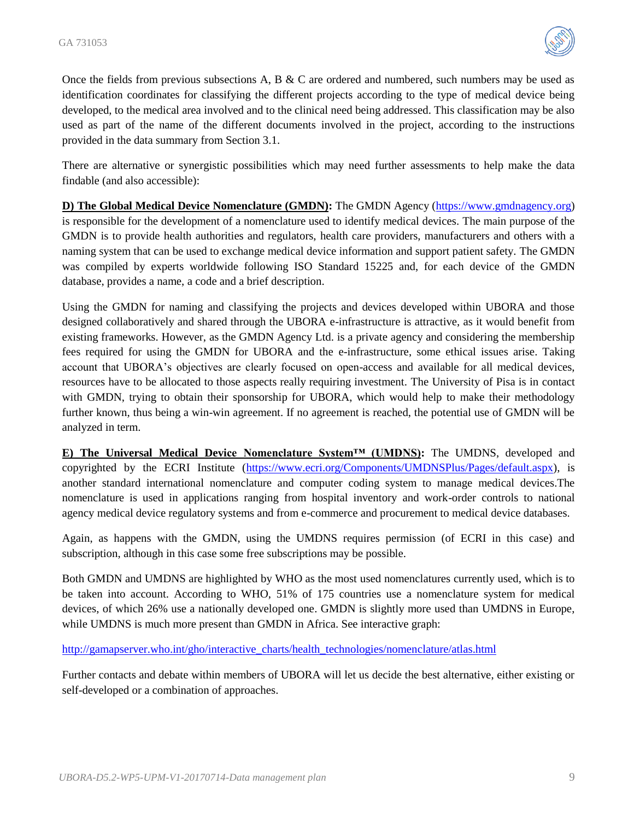

Once the fields from previous subsections A, B & C are ordered and numbered, such numbers may be used as identification coordinates for classifying the different projects according to the type of medical device being developed, to the medical area involved and to the clinical need being addressed. This classification may be also used as part of the name of the different documents involved in the project, according to the instructions provided in the data summary from Section 3.1.

There are alternative or synergistic possibilities which may need further assessments to help make the data findable (and also accessible):

**D) The Global Medical Device Nomenclature (GMDN):** The GMDN Agency [\(https://www.gmdnagency.org\)](https://www.gmdnagency.org/) is responsible for the development of a nomenclature used to identify medical devices. The main purpose of the GMDN is to provide health authorities and regulators, health care providers, manufacturers and others with a naming system that can be used to exchange medical device information and support patient safety. The GMDN was compiled by experts worldwide following ISO Standard 15225 and, for each device of the GMDN database, provides a name, a code and a brief description.

Using the GMDN for naming and classifying the projects and devices developed within UBORA and those designed collaboratively and shared through the UBORA e-infrastructure is attractive, as it would benefit from existing frameworks. However, as the GMDN Agency Ltd. is a private agency and considering the membership fees required for using the GMDN for UBORA and the e-infrastructure, some ethical issues arise. Taking account that UBORA's objectives are clearly focused on open-access and available for all medical devices, resources have to be allocated to those aspects really requiring investment. The University of Pisa is in contact with GMDN, trying to obtain their sponsorship for UBORA, which would help to make their methodology further known, thus being a win-win agreement. If no agreement is reached, the potential use of GMDN will be analyzed in term.

**E) The Universal Medical Device Nomenclature System™ (UMDNS):** The UMDNS, developed and copyrighted by the ECRI Institute [\(https://www.ecri.org/Components/UMDNSPlus/Pages/default.aspx\)](https://www.ecri.org/Components/UMDNSPlus/Pages/default.aspx), is another standard international nomenclature and computer coding system to manage medical devices.The nomenclature is used in applications ranging from hospital inventory and work-order controls to national agency medical device regulatory systems and from e-commerce and procurement to medical device databases.

Again, as happens with the GMDN, using the UMDNS requires permission (of ECRI in this case) and subscription, although in this case some free subscriptions may be possible.

Both GMDN and UMDNS are highlighted by WHO as the most used nomenclatures currently used, which is to be taken into account. According to WHO, 51% of 175 countries use a nomenclature system for medical devices, of which 26% use a nationally developed one. GMDN is slightly more used than UMDNS in Europe, while UMDNS is much more present than GMDN in Africa. See interactive graph:

[http://gamapserver.who.int/gho/interactive\\_charts/health\\_technologies/nomenclature/atlas.html](http://gamapserver.who.int/gho/interactive_charts/health_technologies/nomenclature/atlas.html)

Further contacts and debate within members of UBORA will let us decide the best alternative, either existing or self-developed or a combination of approaches.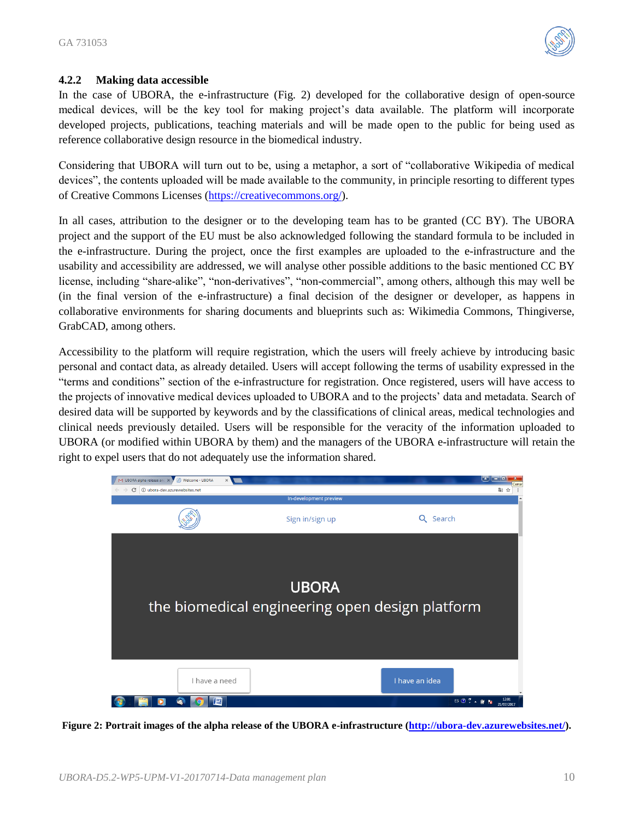

#### <span id="page-9-0"></span>**4.2.2 Making data accessible**

In the case of UBORA, the e-infrastructure (Fig. 2) developed for the collaborative design of open-source medical devices, will be the key tool for making project's data available. The platform will incorporate developed projects, publications, teaching materials and will be made open to the public for being used as reference collaborative design resource in the biomedical industry.

Considering that UBORA will turn out to be, using a metaphor, a sort of "collaborative Wikipedia of medical devices", the contents uploaded will be made available to the community, in principle resorting to different types of Creative Commons Licenses [\(https://creativecommons.org/\)](https://creativecommons.org/).

In all cases, attribution to the designer or to the developing team has to be granted (CC BY). The UBORA project and the support of the EU must be also acknowledged following the standard formula to be included in the e-infrastructure. During the project, once the first examples are uploaded to the e-infrastructure and the usability and accessibility are addressed, we will analyse other possible additions to the basic mentioned CC BY license, including "share-alike", "non-derivatives", "non-commercial", among others, although this may well be (in the final version of the e-infrastructure) a final decision of the designer or developer, as happens in collaborative environments for sharing documents and blueprints such as: Wikimedia Commons, Thingiverse, GrabCAD, among others.

Accessibility to the platform will require registration, which the users will freely achieve by introducing basic personal and contact data, as already detailed. Users will accept following the terms of usability expressed in the "terms and conditions" section of the e-infrastructure for registration. Once registered, users will have access to the projects of innovative medical devices uploaded to UBORA and to the projects' data and metadata. Search of desired data will be supported by keywords and by the classifications of clinical areas, medical technologies and clinical needs previously detailed. Users will be responsible for the veracity of the information uploaded to UBORA (or modified within UBORA by them) and the managers of the UBORA e-infrastructure will retain the right to expel users that do not adequately use the information shared.



**Figure 2: Portrait images of the alpha release of the UBORA e-infrastructure [\(http://ubora-dev.azurewebsites.net/\)](http://ubora-dev.azurewebsites.net/).**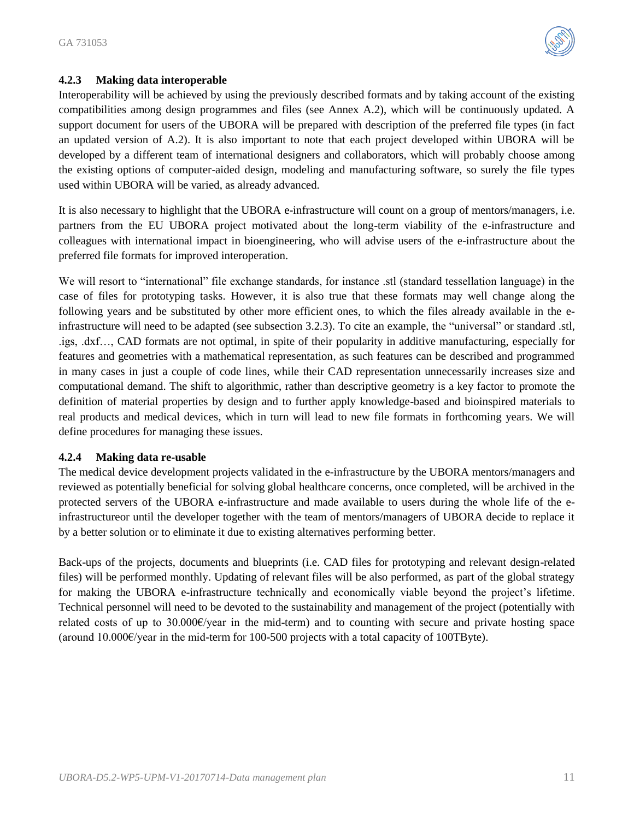

## <span id="page-10-0"></span>**4.2.3 Making data interoperable**

Interoperability will be achieved by using the previously described formats and by taking account of the existing compatibilities among design programmes and files (see Annex A.2), which will be continuously updated. A support document for users of the UBORA will be prepared with description of the preferred file types (in fact an updated version of A.2). It is also important to note that each project developed within UBORA will be developed by a different team of international designers and collaborators, which will probably choose among the existing options of computer-aided design, modeling and manufacturing software, so surely the file types used within UBORA will be varied, as already advanced.

It is also necessary to highlight that the UBORA e-infrastructure will count on a group of mentors/managers, i.e. partners from the EU UBORA project motivated about the long-term viability of the e-infrastructure and colleagues with international impact in bioengineering, who will advise users of the e-infrastructure about the preferred file formats for improved interoperation.

We will resort to "international" file exchange standards, for instance .stl (standard tessellation language) in the case of files for prototyping tasks. However, it is also true that these formats may well change along the following years and be substituted by other more efficient ones, to which the files already available in the einfrastructure will need to be adapted (see subsection 3.2.3). To cite an example, the "universal" or standard .stl, .igs, .dxf…, CAD formats are not optimal, in spite of their popularity in additive manufacturing, especially for features and geometries with a mathematical representation, as such features can be described and programmed in many cases in just a couple of code lines, while their CAD representation unnecessarily increases size and computational demand. The shift to algorithmic, rather than descriptive geometry is a key factor to promote the definition of material properties by design and to further apply knowledge-based and bioinspired materials to real products and medical devices, which in turn will lead to new file formats in forthcoming years. We will define procedures for managing these issues.

#### <span id="page-10-1"></span>**4.2.4 Making data re-usable**

The medical device development projects validated in the e-infrastructure by the UBORA mentors/managers and reviewed as potentially beneficial for solving global healthcare concerns, once completed, will be archived in the protected servers of the UBORA e-infrastructure and made available to users during the whole life of the einfrastructureor until the developer together with the team of mentors/managers of UBORA decide to replace it by a better solution or to eliminate it due to existing alternatives performing better.

Back-ups of the projects, documents and blueprints (i.e. CAD files for prototyping and relevant design-related files) will be performed monthly. Updating of relevant files will be also performed, as part of the global strategy for making the UBORA e-infrastructure technically and economically viable beyond the project's lifetime. Technical personnel will need to be devoted to the sustainability and management of the project (potentially with related costs of up to 30.000€/year in the mid-term) and to counting with secure and private hosting space (around  $10.000 \epsilon$ /year in the mid-term for 100-500 projects with a total capacity of 100TByte).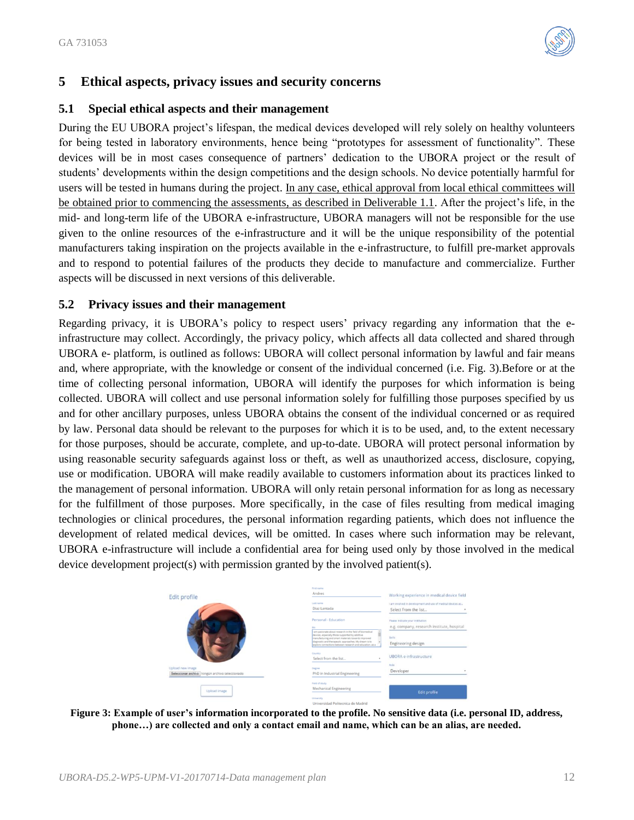

## <span id="page-11-0"></span>**5 Ethical aspects, privacy issues and security concerns**

#### <span id="page-11-1"></span>**5.1 Special ethical aspects and their management**

During the EU UBORA project's lifespan, the medical devices developed will rely solely on healthy volunteers for being tested in laboratory environments, hence being "prototypes for assessment of functionality". These devices will be in most cases consequence of partners' dedication to the UBORA project or the result of students' developments within the design competitions and the design schools. No device potentially harmful for users will be tested in humans during the project. In any case, ethical approval from local ethical committees will be obtained prior to commencing the assessments, as described in Deliverable 1.1. After the project's life, in the mid- and long-term life of the UBORA e-infrastructure, UBORA managers will not be responsible for the use given to the online resources of the e-infrastructure and it will be the unique responsibility of the potential manufacturers taking inspiration on the projects available in the e-infrastructure, to fulfill pre-market approvals and to respond to potential failures of the products they decide to manufacture and commercialize. Further aspects will be discussed in next versions of this deliverable.

## <span id="page-11-2"></span>**5.2 Privacy issues and their management**

Regarding privacy, it is UBORA's policy to respect users' privacy regarding any information that the einfrastructure may collect. Accordingly, the privacy policy, which affects all data collected and shared through UBORA e- platform, is outlined as follows: UBORA will collect personal information by lawful and fair means and, where appropriate, with the knowledge or consent of the individual concerned (i.e. Fig. 3).Before or at the time of collecting personal information, UBORA will identify the purposes for which information is being collected. UBORA will collect and use personal information solely for fulfilling those purposes specified by us and for other ancillary purposes, unless UBORA obtains the consent of the individual concerned or as required by law. Personal data should be relevant to the purposes for which it is to be used, and, to the extent necessary for those purposes, should be accurate, complete, and up-to-date. UBORA will protect personal information by using reasonable security safeguards against loss or theft, as well as unauthorized access, disclosure, copying, use or modification. UBORA will make readily available to customers information about its practices linked to the management of personal information. UBORA will only retain personal information for as long as necessary for the fulfillment of those purposes. More specifically, in the case of files resulting from medical imaging technologies or clinical procedures, the personal information regarding patients, which does not influence the development of related medical devices, will be omitted. In cases where such information may be relevant, UBORA e-infrastructure will include a confidential area for being used only by those involved in the medical device development project(s) with permission granted by the involved patient(s).

| Upload image                                                          | Field of study<br>Mechanical Engineering<br>University                                                                                                                                                                                                                                          | <b>Edit profile</b>                                                                 |
|-----------------------------------------------------------------------|-------------------------------------------------------------------------------------------------------------------------------------------------------------------------------------------------------------------------------------------------------------------------------------------------|-------------------------------------------------------------------------------------|
| Upload new image<br>Seleccionar archivo   Ningún archivo seleccionado | Select from the list<br>Degree<br>PhD in Industrial Engineering                                                                                                                                                                                                                                 | Rosin<br>Developer<br>٠                                                             |
|                                                                       | am pasionate about research in the field of biomedical<br>devices, especially those supported by additive<br>manufacturing and smart materials towards improved<br>diagnostic and therapeutic approaches. My dream is to<br>explore connections between research and education, as a<br>Country | Skills<br>Engineering design<br>UBORA e-infrastructure                              |
|                                                                       | Personal - Education                                                                                                                                                                                                                                                                            | Please indicate your institution<br>e.g. company, research institute, hospital      |
|                                                                       | <b>Last name</b><br>Diaz Lantada                                                                                                                                                                                                                                                                | it am involved in development and use of medical devices as<br>Select from the list |
| Edit profile                                                          | First name<br>Andres                                                                                                                                                                                                                                                                            | Working experience in medical device field                                          |

**Figure 3: Example of user's information incorporated to the profile. No sensitive data (i.e. personal ID, address, phone…) are collected and only a contact email and name, which can be an alias, are needed.**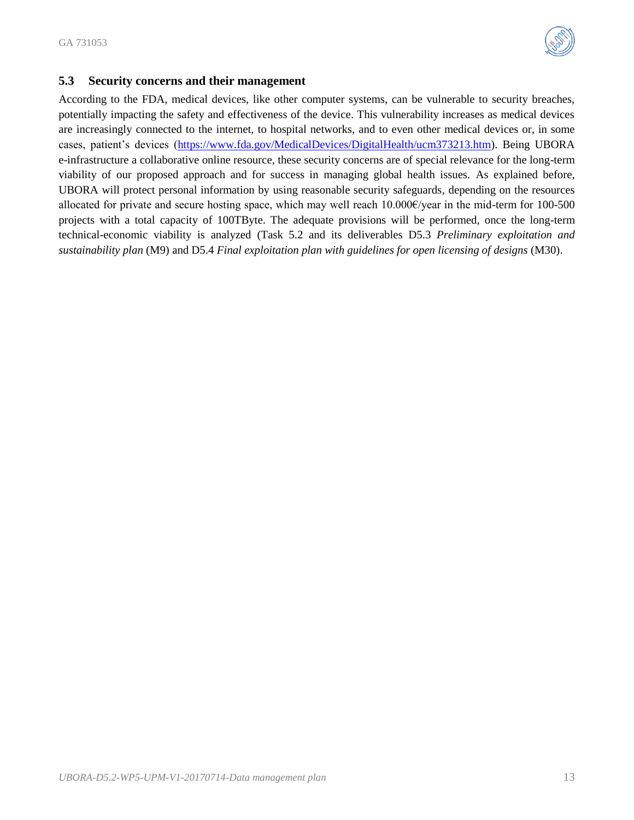

## <span id="page-12-0"></span>**5.3 Security concerns and their management**

According to the FDA, medical devices, like other computer systems, can be vulnerable to security breaches, potentially impacting the safety and effectiveness of the device. This vulnerability increases as medical devices are increasingly connected to the internet, to hospital networks, and to even other medical devices or, in some cases, patient's devices [\(https://www.fda.gov/MedicalDevices/DigitalHealth/ucm373213.htm\)](https://www.fda.gov/MedicalDevices/DigitalHealth/ucm373213.htm). Being UBORA e-infrastructure a collaborative online resource, these security concerns are of special relevance for the long-term viability of our proposed approach and for success in managing global health issues. As explained before, UBORA will protect personal information by using reasonable security safeguards, depending on the resources allocated for private and secure hosting space, which may well reach 10.000€/year in the mid-term for 100-500 projects with a total capacity of 100TByte. The adequate provisions will be performed, once the long-term technical-economic viability is analyzed (Task 5.2 and its deliverables D5.3 *Preliminary exploitation and sustainability plan* (M9) and D5.4 *Final exploitation plan with guidelines for open licensing of designs* (M30).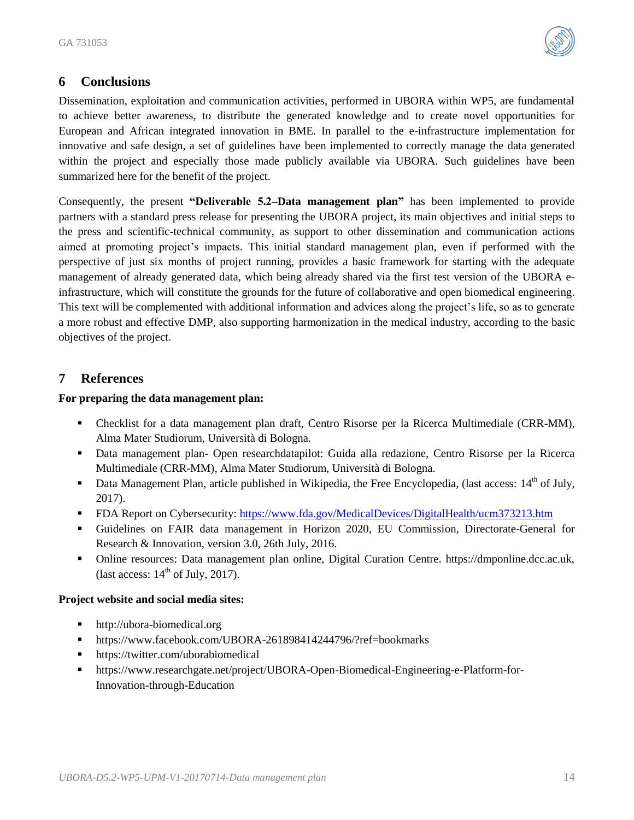

## <span id="page-13-0"></span>**6 Conclusions**

Dissemination, exploitation and communication activities, performed in UBORA within WP5, are fundamental to achieve better awareness, to distribute the generated knowledge and to create novel opportunities for European and African integrated innovation in BME. In parallel to the e-infrastructure implementation for innovative and safe design, a set of guidelines have been implemented to correctly manage the data generated within the project and especially those made publicly available via UBORA. Such guidelines have been summarized here for the benefit of the project.

Consequently, the present **"Deliverable 5.2–Data management plan"** has been implemented to provide partners with a standard press release for presenting the UBORA project, its main objectives and initial steps to the press and scientific-technical community, as support to other dissemination and communication actions aimed at promoting project's impacts. This initial standard management plan, even if performed with the perspective of just six months of project running, provides a basic framework for starting with the adequate management of already generated data, which being already shared via the first test version of the UBORA einfrastructure, which will constitute the grounds for the future of collaborative and open biomedical engineering. This text will be complemented with additional information and advices along the project's life, so as to generate a more robust and effective DMP, also supporting harmonization in the medical industry, according to the basic objectives of the project.

## <span id="page-13-1"></span>**7 References**

## **For preparing the data management plan:**

- Checklist for a data management plan draft, Centro Risorse per la Ricerca Multimediale (CRR-MM), Alma Mater Studiorum, Università di Bologna.
- Data management plan- Open researchdatapilot: Guida alla redazione, Centro Risorse per la Ricerca Multimediale (CRR-MM), Alma Mater Studiorum, Università di Bologna.
- Data Management Plan, article published in Wikipedia, the Free Encyclopedia, (last access:  $14<sup>th</sup>$  of July, 2017).
- FDA Report on Cybersecurity:<https://www.fda.gov/MedicalDevices/DigitalHealth/ucm373213.htm>
- Guidelines on FAIR data management in Horizon 2020, EU Commission, Directorate-General for Research & Innovation, version 3.0, 26th July, 2016.
- Online resources: Data management plan online, Digital Curation Centre. https://dmponline.dcc.ac.uk, (last access:  $14<sup>th</sup>$  of July, 2017).

#### **Project website and social media sites:**

- [http://ubora-biomedical.org](http://ubora-biomedical.org/)
- <https://www.facebook.com/UBORA-261898414244796/?ref=bookmarks>
- <https://twitter.com/uborabiomedical>
- [https://www.researchgate.net/project/UBORA-Open-Biomedical-Engineering-e-Platform-for-](https://www.researchgate.net/project/UBORA-Open-Biomedical-Engineering-e-Platform-for-Innovation-through-Education)[Innovation-through-Education](https://www.researchgate.net/project/UBORA-Open-Biomedical-Engineering-e-Platform-for-Innovation-through-Education)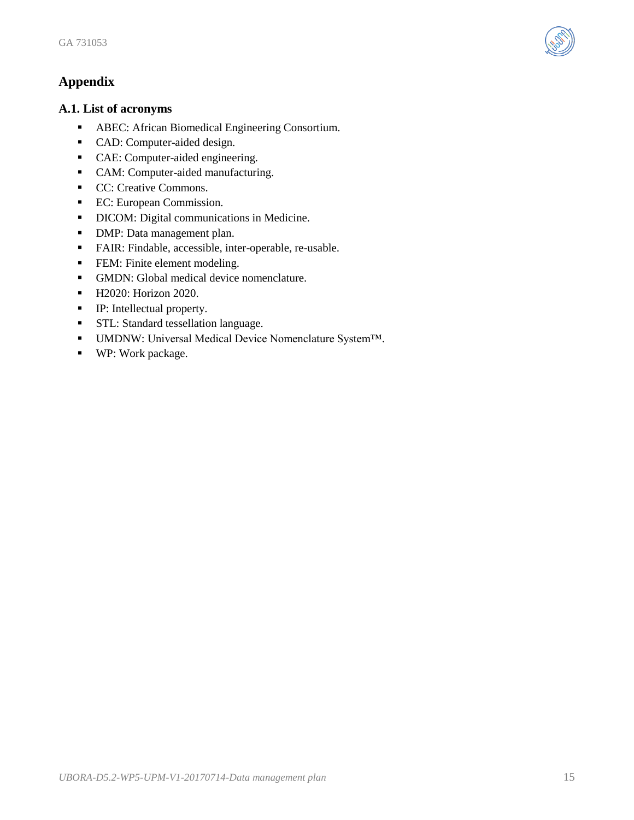<span id="page-14-0"></span>

#### <span id="page-14-1"></span>**A.1. List of acronyms**

- ABEC: African Biomedical Engineering Consortium.
- CAD: Computer-aided design.
- CAE: Computer-aided engineering.
- CAM: Computer-aided manufacturing.
- CC: Creative Commons.
- **EC:** European Commission.
- DICOM: Digital communications in Medicine.
- **DMP:** Data management plan.
- FAIR: Findable, accessible, inter-operable, re-usable.
- **FEM:** Finite element modeling.
- GMDN: Global medical device nomenclature.
- H2020: Horizon 2020.
- IP: Intellectual property.
- **STL:** Standard tessellation language.
- UMDNW: Universal Medical Device Nomenclature System™.
- WP: Work package.